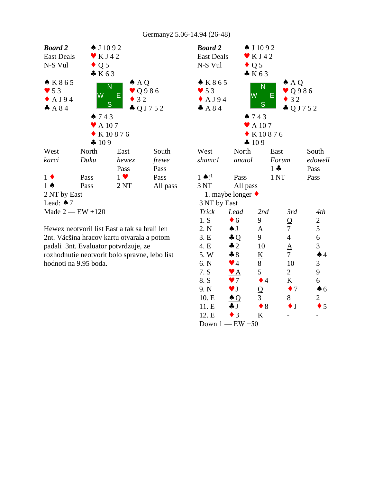

Hewex neotvoril list East a tak sa hrali len 2nt. Väcšina hracov kartu otvarala a potom padali 3nt. Evaluator potvrdzuje, ze rozhodnutie neotvorit bolo spravne, lebo list hodnoti na 9.95 boda.

| <b>Board 2</b><br><b>East Deals</b><br>N-S Vul | $\bullet$ Q 5                   | $\spadesuit$ J 1092<br>$\bullet$ KJ42<br>K63                               |                                                              |                |  |
|------------------------------------------------|---------------------------------|----------------------------------------------------------------------------|--------------------------------------------------------------|----------------|--|
| * K 8 6 5<br>$\bullet$ 53<br>A J 9 4<br>A84    | W<br>743                        | $\overline{\mathsf{N}}$<br>Е<br>S<br>$\blacktriangleright$ A 107<br>K10876 | $\triangle$ AQ<br>$\vee$ Q986<br>32<br>$\clubsuit$ Q J 7 5 2 |                |  |
|                                                | 4109                            |                                                                            |                                                              |                |  |
| West                                           | North                           | East                                                                       |                                                              | South          |  |
| shamc1                                         | anatol                          | Forum                                                                      |                                                              | edowell        |  |
|                                                |                                 | $1 -$                                                                      |                                                              | Pass           |  |
| $1 \bullet$ !                                  | Pass                            | $1\,\mathrm{NT}$                                                           |                                                              | Pass           |  |
| 3 NT                                           | All pass                        |                                                                            |                                                              |                |  |
|                                                | 1. maybe longer $\triangleleft$ |                                                                            |                                                              |                |  |
| 3 NT by East                                   |                                 |                                                                            |                                                              |                |  |
| <b>Trick</b>                                   | Lead                            | 2nd                                                                        | 3rd                                                          | 4th            |  |
| 1. S                                           | $\bullet$ 6                     | 9                                                                          | Q                                                            | $\overline{c}$ |  |
| 2. N                                           | $\spadesuit$ J                  | $\underline{A}$                                                            | 7                                                            | 5              |  |
| 3.E                                            | $\triangleq Q$                  | 9                                                                          | $\overline{4}$                                               | 6              |  |
| 4. E                                           | $\clubsuit$ 2                   | 10                                                                         | $\Delta$                                                     | 3              |  |
| 5. W                                           | $\clubsuit 8$                   | $\underline{\underline{\mathsf{K}}}$                                       | $\overline{7}$                                               | $\spadesuit$ 4 |  |
| 6. N                                           | $\blacktriangledown$ 4          | 8                                                                          | 10                                                           | 3              |  |
| 7. S                                           | $\bullet$ $\overline{A}$        | 5                                                                          | 2                                                            | 9              |  |
| 8. S                                           | $\bullet$ 7                     | $\bullet$ 4                                                                | $\underline{K}$                                              | 6              |  |
| 9. N                                           | $\blacktriangledown$ J          | $\overline{Q}$                                                             | $\bullet$ 7                                                  | $\spadesuit$ 6 |  |
| 10. E                                          | $\triangle Q$                   | 3                                                                          | 8                                                            | $\overline{c}$ |  |
| 11. E                                          | J                               | $\bullet$ 8                                                                | $\bullet$ J                                                  | 5              |  |
| 12. E                                          | $\bullet$ 3                     | K                                                                          |                                                              |                |  |
| Down $1$ - EW -50                              |                                 |                                                                            |                                                              |                |  |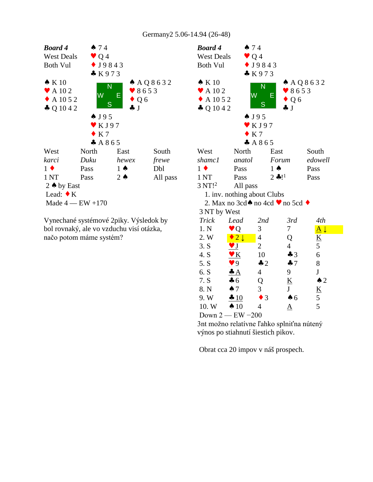

Vynechané systémové 2piky. Výsledok by bol rovnaký, ale vo vzduchu visí otázka, načo potom máme systém?

| $\bullet$ Q 4<br>$\bullet$ J9843<br>K973<br>$\bullet K10$<br>$A$ A Q 8 6 3 2<br>N<br>$\blacktriangleright$ A 10 2<br>8653<br>W<br>Е<br>$\triangle$ A 10 5 2<br>$\bullet$ Q 6<br>S<br>$\clubsuit$ Q 10 4 2<br>$\clubsuit$ J<br>$\bullet$ J95<br>$\bullet$ KJ97<br>K <sub>7</sub><br>A865<br>North<br>East<br>South<br>West<br>edowell<br>anatol<br>Forum<br>Pass<br>$1 \spadesuit$<br>$1 \bullet$<br>Pass<br>$2 * !1$<br>1 <sub>NT</sub><br>Pass<br>Pass<br>$3 \mathrm{NT}!^2$<br>All pass<br>1. inv. nothing about Clubs<br>2. Max no 3cd $\bullet$ no 4cd $\bullet$ no 5cd $\bullet$<br>3 NT by West<br><b>Trick</b><br>3rd<br>4th<br>Lead<br>2nd<br>$\underline{A}$<br>1. N<br>3<br>7<br>$\bullet$ Q<br>$\bullet$ 2 $\downarrow$<br>2. W<br>$\overline{4}$<br>Q<br><u>K</u><br>5<br>3. S<br>$\overline{\mathbf{J}}$<br>$\overline{2}$<br>$\overline{4}$<br>6<br>4. S<br>$\mathbf{v} \mathbf{K}$<br>10<br>$\clubsuit$ 3<br>8<br>5. S<br>9<br>$\clubsuit$ 2<br>47<br>${\bf J}$<br>6. S<br>$\overline{4}$<br>9<br>$\clubsuit A$<br>7. S<br>$\triangle$ 2<br>Q<br>$\underline{\mathbf{K}}$<br>$\clubsuit$ 6<br>3<br>$\mathbf{J}$<br>$\underline{K}$<br>8. N<br>$\spadesuit$ 7<br>5<br>9. W<br>$\frac{10}{2}$<br>$\bullet$ 3<br>$\spadesuit$ 6<br>5<br>10. W<br>$\spadesuit$ 10<br>4<br>$\rm A$ | <b>Board 4</b>    | 474 |  |  |
|----------------------------------------------------------------------------------------------------------------------------------------------------------------------------------------------------------------------------------------------------------------------------------------------------------------------------------------------------------------------------------------------------------------------------------------------------------------------------------------------------------------------------------------------------------------------------------------------------------------------------------------------------------------------------------------------------------------------------------------------------------------------------------------------------------------------------------------------------------------------------------------------------------------------------------------------------------------------------------------------------------------------------------------------------------------------------------------------------------------------------------------------------------------------------------------------------------------------------------------------------------------------------------------------|-------------------|-----|--|--|
|                                                                                                                                                                                                                                                                                                                                                                                                                                                                                                                                                                                                                                                                                                                                                                                                                                                                                                                                                                                                                                                                                                                                                                                                                                                                                              | <b>West Deals</b> |     |  |  |
|                                                                                                                                                                                                                                                                                                                                                                                                                                                                                                                                                                                                                                                                                                                                                                                                                                                                                                                                                                                                                                                                                                                                                                                                                                                                                              | <b>Both Vul</b>   |     |  |  |
|                                                                                                                                                                                                                                                                                                                                                                                                                                                                                                                                                                                                                                                                                                                                                                                                                                                                                                                                                                                                                                                                                                                                                                                                                                                                                              |                   |     |  |  |
|                                                                                                                                                                                                                                                                                                                                                                                                                                                                                                                                                                                                                                                                                                                                                                                                                                                                                                                                                                                                                                                                                                                                                                                                                                                                                              |                   |     |  |  |
|                                                                                                                                                                                                                                                                                                                                                                                                                                                                                                                                                                                                                                                                                                                                                                                                                                                                                                                                                                                                                                                                                                                                                                                                                                                                                              |                   |     |  |  |
|                                                                                                                                                                                                                                                                                                                                                                                                                                                                                                                                                                                                                                                                                                                                                                                                                                                                                                                                                                                                                                                                                                                                                                                                                                                                                              |                   |     |  |  |
|                                                                                                                                                                                                                                                                                                                                                                                                                                                                                                                                                                                                                                                                                                                                                                                                                                                                                                                                                                                                                                                                                                                                                                                                                                                                                              |                   |     |  |  |
|                                                                                                                                                                                                                                                                                                                                                                                                                                                                                                                                                                                                                                                                                                                                                                                                                                                                                                                                                                                                                                                                                                                                                                                                                                                                                              |                   |     |  |  |
|                                                                                                                                                                                                                                                                                                                                                                                                                                                                                                                                                                                                                                                                                                                                                                                                                                                                                                                                                                                                                                                                                                                                                                                                                                                                                              |                   |     |  |  |
|                                                                                                                                                                                                                                                                                                                                                                                                                                                                                                                                                                                                                                                                                                                                                                                                                                                                                                                                                                                                                                                                                                                                                                                                                                                                                              |                   |     |  |  |
|                                                                                                                                                                                                                                                                                                                                                                                                                                                                                                                                                                                                                                                                                                                                                                                                                                                                                                                                                                                                                                                                                                                                                                                                                                                                                              |                   |     |  |  |
|                                                                                                                                                                                                                                                                                                                                                                                                                                                                                                                                                                                                                                                                                                                                                                                                                                                                                                                                                                                                                                                                                                                                                                                                                                                                                              |                   |     |  |  |
|                                                                                                                                                                                                                                                                                                                                                                                                                                                                                                                                                                                                                                                                                                                                                                                                                                                                                                                                                                                                                                                                                                                                                                                                                                                                                              | shamc1            |     |  |  |
|                                                                                                                                                                                                                                                                                                                                                                                                                                                                                                                                                                                                                                                                                                                                                                                                                                                                                                                                                                                                                                                                                                                                                                                                                                                                                              |                   |     |  |  |
|                                                                                                                                                                                                                                                                                                                                                                                                                                                                                                                                                                                                                                                                                                                                                                                                                                                                                                                                                                                                                                                                                                                                                                                                                                                                                              |                   |     |  |  |
|                                                                                                                                                                                                                                                                                                                                                                                                                                                                                                                                                                                                                                                                                                                                                                                                                                                                                                                                                                                                                                                                                                                                                                                                                                                                                              |                   |     |  |  |
|                                                                                                                                                                                                                                                                                                                                                                                                                                                                                                                                                                                                                                                                                                                                                                                                                                                                                                                                                                                                                                                                                                                                                                                                                                                                                              |                   |     |  |  |
|                                                                                                                                                                                                                                                                                                                                                                                                                                                                                                                                                                                                                                                                                                                                                                                                                                                                                                                                                                                                                                                                                                                                                                                                                                                                                              |                   |     |  |  |
|                                                                                                                                                                                                                                                                                                                                                                                                                                                                                                                                                                                                                                                                                                                                                                                                                                                                                                                                                                                                                                                                                                                                                                                                                                                                                              |                   |     |  |  |
|                                                                                                                                                                                                                                                                                                                                                                                                                                                                                                                                                                                                                                                                                                                                                                                                                                                                                                                                                                                                                                                                                                                                                                                                                                                                                              |                   |     |  |  |
|                                                                                                                                                                                                                                                                                                                                                                                                                                                                                                                                                                                                                                                                                                                                                                                                                                                                                                                                                                                                                                                                                                                                                                                                                                                                                              |                   |     |  |  |
|                                                                                                                                                                                                                                                                                                                                                                                                                                                                                                                                                                                                                                                                                                                                                                                                                                                                                                                                                                                                                                                                                                                                                                                                                                                                                              |                   |     |  |  |
|                                                                                                                                                                                                                                                                                                                                                                                                                                                                                                                                                                                                                                                                                                                                                                                                                                                                                                                                                                                                                                                                                                                                                                                                                                                                                              |                   |     |  |  |
|                                                                                                                                                                                                                                                                                                                                                                                                                                                                                                                                                                                                                                                                                                                                                                                                                                                                                                                                                                                                                                                                                                                                                                                                                                                                                              |                   |     |  |  |
|                                                                                                                                                                                                                                                                                                                                                                                                                                                                                                                                                                                                                                                                                                                                                                                                                                                                                                                                                                                                                                                                                                                                                                                                                                                                                              |                   |     |  |  |
|                                                                                                                                                                                                                                                                                                                                                                                                                                                                                                                                                                                                                                                                                                                                                                                                                                                                                                                                                                                                                                                                                                                                                                                                                                                                                              |                   |     |  |  |
|                                                                                                                                                                                                                                                                                                                                                                                                                                                                                                                                                                                                                                                                                                                                                                                                                                                                                                                                                                                                                                                                                                                                                                                                                                                                                              |                   |     |  |  |
|                                                                                                                                                                                                                                                                                                                                                                                                                                                                                                                                                                                                                                                                                                                                                                                                                                                                                                                                                                                                                                                                                                                                                                                                                                                                                              |                   |     |  |  |
|                                                                                                                                                                                                                                                                                                                                                                                                                                                                                                                                                                                                                                                                                                                                                                                                                                                                                                                                                                                                                                                                                                                                                                                                                                                                                              |                   |     |  |  |
|                                                                                                                                                                                                                                                                                                                                                                                                                                                                                                                                                                                                                                                                                                                                                                                                                                                                                                                                                                                                                                                                                                                                                                                                                                                                                              |                   |     |  |  |
| Down $2$ - EW -200                                                                                                                                                                                                                                                                                                                                                                                                                                                                                                                                                                                                                                                                                                                                                                                                                                                                                                                                                                                                                                                                                                                                                                                                                                                                           |                   |     |  |  |

3nt možno relatívne ľahko splniťna nútený výnos po stiahnutí šiestich pikov.

Obrat cca 20 impov v náš prospech.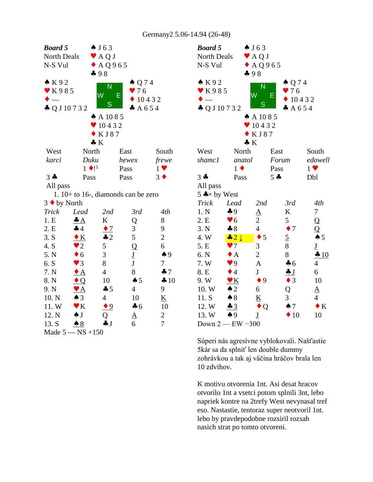| <b>Board 5</b>           |                           | $\spadesuit$ J 63         |                                       |                          | Bo          |
|--------------------------|---------------------------|---------------------------|---------------------------------------|--------------------------|-------------|
| North Deals              |                           | $\blacktriangleright$ AQJ |                                       |                          | No:         |
| N-S Vul                  |                           | $\triangle$ AQ965         |                                       |                          | $N-$        |
|                          |                           | 498                       |                                       |                          |             |
| K92                      |                           | N                         | $\triangle Q74$                       |                          | $\bullet$ ] |
| K985                     |                           | W                         | 976<br>E                              |                          | $\bullet$ 1 |
| $\frac{1}{1}$            |                           |                           |                                       | 10432                    |             |
| $\clubsuit$ Q J 10 7 3 2 |                           | S                         | A654                                  |                          | 츄 (         |
|                          |                           | $A$ A 10 8 5              |                                       |                          |             |
|                          |                           | 10432                     |                                       |                          |             |
|                          |                           | KJ87                      |                                       |                          |             |
|                          |                           | $\clubsuit K$             |                                       |                          |             |
| West                     | North                     |                           | East                                  | South                    | We          |
| karci                    | Duku                      |                           | hewex                                 | frewe                    | sha         |
|                          | $1 \bullet 1^1$           |                           | Pass                                  | $1 \bullet$              |             |
| $3 -$                    | Pass                      |                           | Pass                                  | $3 \bullet$              | $3 -$       |
| All pass                 |                           |                           |                                       |                          | All         |
|                          |                           |                           | 1. $10+$ to 16-, diamonds can be zero |                          | $5 -$       |
| 3 ♦ by North             |                           |                           |                                       |                          | Tri         |
| Trick                    | Lead                      | 2nd                       | 3rd                                   | 4th                      | 1.1         |
| 1.E                      | $\clubsuit A$             | K                         | Q                                     | 8                        | 2.1         |
| 2.E                      | 44                        | $\bullet$ 7               | 3                                     | 9                        | 3.1         |
| 3. S                     | $\bullet K$               | $\clubsuit$ 2             | 5                                     | $\overline{2}$           | 4.1         |
| 4. S                     | $\bullet$ 2               | 5                         | $\overline{Q}$                        | 6                        | 5.1         |
| 5. N                     | $\bullet$ 6               | 3                         | $\underline{\mathbf{J}}$              | $\spadesuit$ 9           | 6.1         |
| 6. S                     | $\blacktriangledown$ 3    | 8                         | $\underline{\mathbf{J}}$              | $\tau$                   | 7.3         |
| 7. N                     | $\bullet$ A               | $\overline{4}$            | 8                                     | 47                       | 8. I        |
| 8. N                     | $\triangle Q$             | 10                        | $\spadesuit$ 5                        | 410                      | 9.3         |
| 9. N                     | $\mathbf{Y}$ $\mathbf{A}$ | $\clubsuit$ 5             | $\overline{4}$                        | 9                        | 10.         |
| 10. N                    | $\triangle$ 3             | 4                         | 10                                    | $\underline{\mathbf{K}}$ | 11.         |
| 11.W                     | $\mathbf{v}$ K            | $\bullet$ 9               | $\clubsuit$ 6                         | 10                       | 12.         |
| 12. N                    | $\clubsuit$ J             | Q                         | $\underline{A}$                       | $\overline{c}$           | 13.         |
| 13. S                    | $\triangle$ 8             | $\clubsuit$ J             | 6                                     | $\overline{7}$           | Do          |
| Made 5                   | $-$ NS +150               |                           |                                       |                          |             |

| <b>Board 5</b><br>North Deals<br>N-S Vul<br>K92<br>$\mathbf{V}$ K985<br>$\clubsuit$ Q J 10 7 3 2 | 498                          | $\spadesuit$ J 63<br>$\blacktriangleright$ AQJ<br>$\triangle$ AQ965<br>N<br>W<br>S | $\spadesuit$ Q 74<br>976<br>Ε<br>10432<br>A654 |                                   |  |
|--------------------------------------------------------------------------------------------------|------------------------------|------------------------------------------------------------------------------------|------------------------------------------------|-----------------------------------|--|
|                                                                                                  |                              | $A$ A 1085                                                                         |                                                |                                   |  |
|                                                                                                  |                              | $\bullet$ 10432                                                                    |                                                |                                   |  |
|                                                                                                  |                              | KJ87                                                                               |                                                |                                   |  |
|                                                                                                  | $\clubsuit K$                |                                                                                    |                                                |                                   |  |
| West                                                                                             | North                        |                                                                                    | East                                           | South                             |  |
| shamc1                                                                                           | anatol                       |                                                                                    | Forum                                          | edowell                           |  |
|                                                                                                  | $1 \bullet$                  |                                                                                    | Pass                                           | $1 \vee$                          |  |
| $3 +$                                                                                            | Pass                         |                                                                                    | $5 -$                                          | Dbl                               |  |
| All pass                                                                                         |                              |                                                                                    |                                                |                                   |  |
| $5 \div x$ by West                                                                               |                              |                                                                                    |                                                |                                   |  |
| <b>Trick</b>                                                                                     | Lead                         | 2nd                                                                                | 3rd                                            | 4th                               |  |
| 1. N                                                                                             | $\clubsuit$ 9                | $\underline{A}$                                                                    | K                                              | $\overline{7}$                    |  |
| 2. E                                                                                             | $\blacktriangledown 6$       | $\overline{c}$                                                                     | 5                                              | $\overline{Q}$                    |  |
| 3. N                                                                                             | $\clubsuit 8$                | $\overline{4}$                                                                     | $\bullet$ 7                                    | Q                                 |  |
| 4. W                                                                                             | $\clubsuit$ 2 $\downarrow$   | 5<br>٠                                                                             | $\overline{2}$                                 | $\spadesuit$ 5                    |  |
| 5. E                                                                                             | $\bullet$ 7                  | 3                                                                                  | 8                                              | $\underline{\mathbf{J}}$          |  |
| 6. N                                                                                             | $\bullet$ A                  | $\overline{c}$                                                                     | 8                                              | $\frac{10}{2}$                    |  |
| 7. W                                                                                             | $\blacktriangledown 9$       | $\overline{A}$                                                                     | 46                                             | $\overline{4}$                    |  |
| 8. E                                                                                             | $\bullet$ 4                  | ${\bf J}$                                                                          |                                                | 6                                 |  |
| 9. W<br>10.W                                                                                     | $\bullet K$<br>$\triangle$ 2 | $\bullet$ 9<br>6                                                                   | $\bullet$ 3                                    | 10                                |  |
| 11. S                                                                                            | $\clubsuit 8$                | $\underline{\mathbf{K}}$                                                           | Q<br>3                                         | $\underline{A}$<br>$\overline{4}$ |  |
| 12. W                                                                                            | 43                           | Q                                                                                  | $\spadesuit$ 7                                 | $\bullet K$                       |  |
| 13. W                                                                                            | $\spadesuit$ 9               | $\underline{\mathrm{J}}$                                                           | $\blacklozenge$ 10                             | 10                                |  |
|                                                                                                  | Down $2$ - EW -300           |                                                                                    |                                                |                                   |  |

Súperi nás agresívne vyblokovali. Našťastie 5kár sa da splniť len double dummy zohrávkou a tak aj väčina hráčov brala len 10 zdvihov.

K motivu otvorenia 1nt. Asi desat hracov otvorilo 1nt a vsetci potom splnili 3nt, lebo napriek kontre na 2trefy West nevynasal tref eso. Nastastie, tentoraz super neotvoril 1nt. lebo by pravdepodobne rozsiril rozsah nasich strat po tomto otvoreni.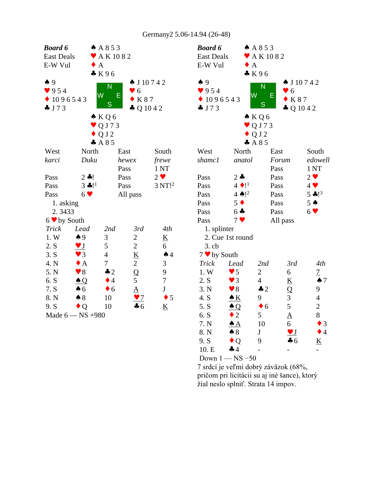| <b>Board 6</b>                   |                                                   | A853                         |                          |                              | <b>Boa</b>              |
|----------------------------------|---------------------------------------------------|------------------------------|--------------------------|------------------------------|-------------------------|
| <b>East Deals</b>                |                                                   | $\blacktriangleright$ AK1082 |                          |                              | Eas                     |
| E-W Vul                          |                                                   | $\bullet$ A                  |                          |                              | E-V                     |
|                                  |                                                   | K96                          |                          |                              |                         |
| $\spadesuit$ 9                   |                                                   |                              | $\spadesuit$ J 10742     |                              | $\spadesuit$ 9          |
| 954                              |                                                   | N                            | $\bullet$ 6              |                              | $\bullet$ 9             |
|                                  | 1096543                                           | W<br>Е                       | $\bullet$ K 87           |                              | $\bullet$ 1             |
| J73                              |                                                   | S                            | $\clubsuit$ Q 10 4 2     |                              | $\clubsuit$ J           |
|                                  |                                                   | $\bullet$ KQ6                |                          |                              |                         |
|                                  |                                                   | $\vee$ QJ73                  |                          |                              |                         |
|                                  |                                                   | $\bullet$ Q J 2              |                          |                              |                         |
|                                  |                                                   | A85                          |                          |                              |                         |
| West                             | North                                             |                              | East                     | South                        | We:                     |
| karci                            | Duku                                              |                              | hewex                    | frewe                        | sha                     |
|                                  |                                                   |                              | Pass                     | 1 NT                         |                         |
| Pass                             | $2 - 1$                                           |                              | Pass                     | $2 \vee$                     | Pas:                    |
| Pass                             | $3 * 11$                                          |                              | Pass                     | $3 \mathrm{NT}$ <sup>2</sup> | Pas:                    |
| Pass                             | 6 <sub>9</sub>                                    |                              | All pass                 |                              | Pas:                    |
| 1. asking                        |                                                   |                              |                          |                              | Pas:                    |
| 2.3433                           |                                                   |                              |                          |                              | Pas:                    |
| $6 \blacktriangleright$ by South |                                                   |                              |                          |                              | Pas:                    |
| Trick                            | Lead                                              | 2nd                          | 3rd                      | 4th                          | $\mathbf{1}$            |
| 1. W                             | $\spadesuit$ 9                                    | 3                            | $\overline{c}$           | $\underline{\mathbf{K}}$     | $\overline{\mathbf{c}}$ |
| 2. S                             | $\underline{\mathbf{v}}$ $\underline{\mathbf{J}}$ | 5                            | $\mathbf{2}$             | 6                            | 3                       |
| 3. S                             | $\blacktriangledown$ 3                            | $\overline{4}$               | $\underline{\mathbf{K}}$ | $\spadesuit$ 4               | 7 <sub>•</sub>          |
| 4. N                             | $\bullet$ A                                       | $\tau$                       | $\overline{2}$           | 3                            | Tri                     |
| 5. N                             | $\blacktriangledown 8$                            | $\clubsuit$ 2                | Q                        | 9                            | 1.3                     |
| 6. S                             | $\triangle Q$                                     | $\bullet$ 4                  | 5                        | $\overline{7}$               | 2.8                     |
| 7. S                             | $\clubsuit$ 6                                     | $\bullet$ 6                  | $\underline{\mathbf{A}}$ | $\bf J$                      | 3.1                     |
| 8. N                             | $\clubsuit 8$                                     | 10                           | $\frac{97}{2}$           | $\bullet$ 5                  | 4.                      |
| 9. S                             | $\bullet$ Q                                       | 10                           | $\clubsuit$ 6            | $\underline{\mathbf{K}}$     | 5.                      |
|                                  | Made 6 - NS + 980                                 |                              |                          |                              | 6.                      |

| <b>Board 6</b>                       |                         | AA853           |                                      |                          |
|--------------------------------------|-------------------------|-----------------|--------------------------------------|--------------------------|
| <b>East Deals</b>                    |                         |                 | $\blacktriangleright$ AK1082         |                          |
| E-W Vul                              | $\bullet$ A             |                 |                                      |                          |
|                                      |                         | $* K96$         |                                      |                          |
| $\clubsuit$ 9                        |                         | N               | $\spadesuit$ J 10742                 |                          |
| 954                                  |                         | W               | $\bullet$ 6<br>Е                     |                          |
| 1096543                              |                         | S               | $\bullet$ K 87                       |                          |
| J73                                  |                         |                 | $\clubsuit$ Q 10 4 2                 |                          |
|                                      |                         | $\triangle KQ6$ |                                      |                          |
|                                      |                         | $\vee$ QJ73     |                                      |                          |
|                                      |                         | $\bullet$ QJ2   |                                      |                          |
|                                      |                         | A85             |                                      |                          |
| West                                 | North                   |                 | East                                 | South                    |
| shamc1                               | anatol                  |                 | Forum                                | edowell                  |
|                                      |                         |                 | Pass                                 | 1 <sub>NT</sub>          |
| Pass                                 | $2 \bullet$             |                 | Pass                                 | $2 \bullet$              |
| Pass                                 | $4 \cdot 1^1$           |                 | Pass                                 | $4 \vee$                 |
| Pass                                 | $4 \spadesuit !^2$      |                 | Pass                                 | $5 + 1^3$                |
| Pass                                 | $5 \bullet$             |                 | Pass                                 | $5 \triangle$            |
| Pass                                 | $6 -$                   |                 | Pass                                 | $6 \vee$                 |
| Pass                                 | 7 <sub>9</sub>          |                 | All pass                             |                          |
| 1. splinter                          |                         |                 |                                      |                          |
|                                      | 2. Cue 1st round        |                 |                                      |                          |
| $3.$ cb                              |                         |                 |                                      |                          |
| $7 \bullet$ by South<br><b>Trick</b> | Lead                    | 2nd             | 3rd                                  | 4th                      |
| 1. W                                 | $\blacktriangledown$ 5  | 2               | 6                                    | $\overline{1}$           |
| 2. S                                 | $\blacktriangledown$ 3  | $\overline{4}$  | $\underline{\underline{\mathsf{K}}}$ | $\spadesuit$ 7           |
| 3. N                                 | $\blacktriangledown 8$  | $\clubsuit$ 2   | $\overline{\mathbf{Q}}$              | 9                        |
| 4. S                                 | $\underline{\bullet K}$ | 9               |                                      | $\overline{4}$           |
| 5. S                                 | $\triangle Q$           | 6               | $\frac{3}{5}$                        | $\overline{c}$           |
| 6. S                                 | $\overline{2}$          | 5               | $\underline{A}$                      | 8                        |
| 7. N                                 | <u>♠ A</u>              | 10              | 6                                    | $\bullet$ 3              |
| 8. N                                 | $\clubsuit 8$           | $\mathbf J$     | $\underline{\mathbf{v}}$ J           | $\bullet$ 4              |
| 9. S                                 | $\bullet$ Q             | 9               | $\clubsuit$ 6                        | $\underline{\mathbf{K}}$ |
| 10. E                                | 44                      |                 |                                      |                          |
| Down $1 - NS - 50$                   |                         |                 |                                      |                          |

7 srdcí je veľmi dobrý záväzok (68%, pričom pri licitácii su aj iné šance), ktorý žial neslo splniť. Strata 14 impov.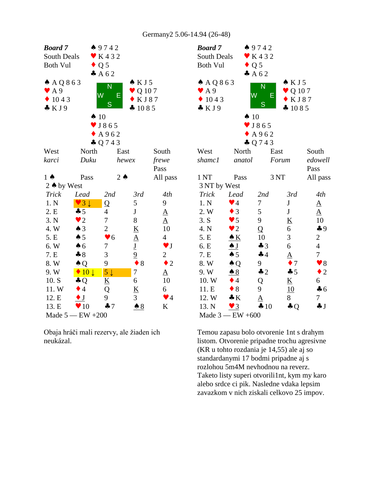| <b>Board</b> 7           |                                 | 49742                        |                          |                        | <b>Boa</b>        |
|--------------------------|---------------------------------|------------------------------|--------------------------|------------------------|-------------------|
| South Deals              |                                 | $\blacktriangleright$ K432   |                          |                        | Sou               |
| <b>Both Vul</b>          |                                 | $\bullet$ Q 5                |                          |                        | <b>Bot</b>        |
|                          |                                 | A62                          |                          |                        |                   |
| $A$ AQ 863               |                                 |                              | $\triangle$ KJ5          |                        | $\bullet$ $\land$ |
| $\blacktriangledown$ A 9 |                                 | N                            | $\bullet$ Q 107          |                        | V A               |
| 1043<br>$\blacklozenge$  |                                 | W<br>Е                       | $\bullet$ KJ87           |                        | $\mathbf{1}$      |
| $\clubsuit$ KJ9          |                                 | S                            | 41085                    |                        | $\clubsuit$ $\&$  |
|                          | $\spadesuit$ 10                 |                              |                          |                        |                   |
|                          |                                 | $\blacktriangledown$ J 8 6 5 |                          |                        |                   |
|                          |                                 | A962                         |                          |                        |                   |
|                          |                                 | $\clubsuit$ Q 7 4 3          |                          |                        |                   |
| West                     | North                           |                              | East                     | South                  | We:               |
| karci                    | Duku                            |                              | hewex                    | frewe                  | shai              |
|                          |                                 |                              |                          | Pass                   |                   |
| $1 \spadesuit$           | Pass                            |                              | $2 \triangle$            | All pass               | 1 <sub>N</sub>    |
| 2 ♦ by West              |                                 |                              |                          |                        | 3N                |
| <b>Trick</b>             | Lead                            | 2nd                          | 3rd                      | 4th                    | Tri               |
| 1. N                     | $\vee$ 3                        | Q                            | $\mathfrak s$            | 9                      | 1.1               |
| 2. E                     | $-5$                            | $\overline{4}$               | $\bf J$                  | $\underline{A}$        | 2.1               |
| 3. N                     | $\bullet$ 2                     | $\boldsymbol{7}$             | 8                        | $\underline{A}$        | 3.8               |
| 4.W                      | $\spadesuit$ 3                  | $\overline{c}$               | $\underline{K}$          | 10                     | 4.1               |
| 5. E                     | $\spadesuit 5$                  | $\blacktriangledown 6$       | $\underline{A}$          | $\overline{4}$         | 5.1               |
| 6. W                     | $\spadesuit$ 6                  | 7                            | $\underline{\mathbf{J}}$ | $\blacktriangledown$ J | 6. I              |
| 7. E                     | $\clubsuit 8$                   | 3                            | $\overline{6}$           | $\overline{c}$         | 7.1               |
| 8. W                     | $\triangle Q$                   | 9                            | $\bullet$ 8              | $\bullet$ 2            | 8.1               |
| 9. W                     | $\blacklozenge$ 10 $\downarrow$ | $5\downarrow$                | $\overline{7}$           | $\underline{A}$        | 9.1               |
| 10. S                    | $\clubsuit Q$                   | $\underline{\mathbf{K}}$     | 6                        | 10                     | 10.               |
| 11.W                     | $\bullet$ 4                     | Q                            | <u>K</u>                 | 6                      | 11.               |
| 12. E                    | $\bullet$ J                     | 9                            | 3                        | $\blacktriangledown$ 4 | 12.               |
| 13. E                    | $\blacktriangledown 10$         | 47                           | $\triangle$ 8            | K                      | 13.               |
|                          | Made $5 - EW + 200$             |                              |                          |                        | Ma                |

Obaja hráči mali rezervy, ale žiaden ich neukázal.

| <b>Board</b> 7           |                         | 49742                        |                          |                        |  |
|--------------------------|-------------------------|------------------------------|--------------------------|------------------------|--|
| South Deals              |                         | $\blacktriangleright$ K432   |                          |                        |  |
| <b>Both Vul</b>          | $\bullet$ Q 5           |                              |                          |                        |  |
|                          |                         | A62                          |                          |                        |  |
| $A$ AQ863                |                         |                              | $\triangle$ KJ5          |                        |  |
| $\blacktriangleright$ A9 |                         | N                            | $\bullet$ Q 107          |                        |  |
| 1043                     | $\overline{\mathsf{W}}$ | E                            | KJ87                     |                        |  |
| $\bullet$ KJ9            |                         | S                            | 41085                    |                        |  |
|                          | $\spadesuit$ 10         |                              |                          |                        |  |
|                          |                         | $\blacktriangledown$ J 8 6 5 |                          |                        |  |
|                          |                         | A962                         |                          |                        |  |
|                          |                         | $\clubsuit$ Q 7 4 3          |                          |                        |  |
| West                     | North                   |                              | East                     | South                  |  |
| shamc1                   | anatol                  |                              | Forum                    | edowell                |  |
|                          |                         |                              |                          | Pass                   |  |
| 1 <sub>NT</sub>          | Pass                    |                              | 3NT                      | All pass               |  |
| 3 NT by West             |                         |                              |                          |                        |  |
| Trick                    | Lead                    | 2nd                          | 3rd                      | 4th                    |  |
| 1. N                     | $\blacktriangledown$ 4  | 7                            | $\mathbf J$              | $\underline{A}$        |  |
| 2. W                     | $\bullet$ 3             | 5                            | ${\bf J}$                | $\underline{A}$        |  |
| 3. S                     | $\blacktriangledown$ 5  | 9                            | $\underline{\mathbf{K}}$ | 10                     |  |
| 4. N                     | $\bullet$ 2             | Q                            | 6                        | 49                     |  |
| 5. E                     | $\triangle K$           | 10                           | 3                        | $\overline{c}$         |  |
| 6. E                     | $\triangle J$           | $\clubsuit$ 3                | 6                        | $\overline{4}$         |  |
| 7. E                     | $\clubsuit$ 5           | $\clubsuit$ 4                | ${\underline{\rm A}}$    | $\boldsymbol{7}$       |  |
| 8. W                     | $\triangle Q$           | 9                            | $\bullet$ 7              | $\blacktriangledown 8$ |  |
| 9. W                     | $\triangle$ 8           | $\clubsuit$ 2                | 45                       | $\bullet$ 2            |  |
| 10. W                    | $\bullet$ 4             | Q                            | $\underline{\mathbf{K}}$ | 6                      |  |
| 11. E                    | $\bullet$ 8             | 9                            | 10                       | $\clubsuit$ 6          |  |
| 12. W                    | $\clubsuit K$           | ${\underline{\rm A}}$        | 8                        | 7                      |  |
| 13. N                    | $\vee$ 3                | $\clubsuit 10$               | $\clubsuit$ Q            | $\clubsuit$ $J$        |  |
|                          | Made $3$ — EW +600      |                              |                          |                        |  |

Temou zapasu bolo otvorenie 1nt s drahym listom. Otvorenie pripadne trochu agresivne (KR u tohto rozdania je 14,55) ale aj so standardanymi 17 bodmi pripadne aj s rozlohou 5m4M nevhodnou na reverz. Taketo listy superi otvorili1nt, kym my karo alebo srdce ci pik. Nasledne vdaka lepsim zavazkom v nich ziskali celkovo 25 impov.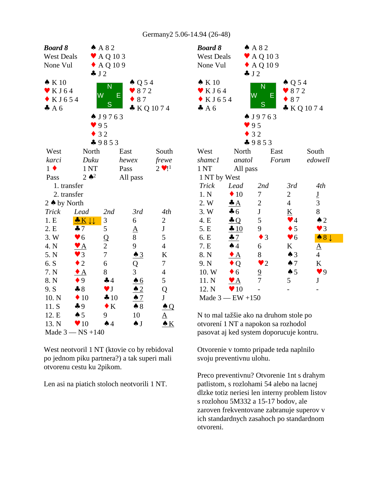| <b>Board 8</b><br><b>West Deals</b><br>None Vul                       |                           | AA82<br>$\blacktriangleright$ AQ 103<br>$\triangle$ AQ 109<br>J2 |                                     |                | <b>Boar</b><br>West<br>None              |
|-----------------------------------------------------------------------|---------------------------|------------------------------------------------------------------|-------------------------------------|----------------|------------------------------------------|
| $\bullet K10$<br>$\blacktriangledown$ K J 64<br>$\bullet$ KJ654<br>A6 |                           | N<br>W<br>S                                                      | $\spadesuit$ Q 54<br>872<br>E<br>87 | * KQ 1074      | $\bullet K$<br>K<br>K<br>$\clubsuit$ $A$ |
|                                                                       |                           | $\bullet$ J9763<br>95<br>32<br>$-9853$                           |                                     |                |                                          |
| West                                                                  | North                     |                                                                  | East                                | South          | West                                     |
| karci                                                                 | Duku                      |                                                                  | hewex                               | frewe          | sham                                     |
| $1 \bullet$                                                           | 1 <sub>NT</sub>           |                                                                  | Pass                                | $2 \cdot 11$   | 1 <sub>NT</sub>                          |
| Pass                                                                  | $2 \bullet^2$             |                                                                  | All pass                            |                | 1 <sub>N</sub> T                         |
| 1. transfer                                                           |                           |                                                                  |                                     |                | Tricl                                    |
| 2. transfer                                                           |                           |                                                                  |                                     |                | 1. N                                     |
| 2 ♦ by North                                                          |                           |                                                                  |                                     |                | 2. W                                     |
| <b>Trick</b>                                                          | Lead                      | 2nd                                                              | 3rd                                 | 4th            | 3. W                                     |
| 1.E                                                                   | $K\downarrow\downarrow$   | 3                                                                | 6                                   | $\mathbf{2}$   | 4. E                                     |
| 2. E                                                                  | $\clubsuit$ 7             | 5                                                                | $\underline{A}$                     | $\bf J$        | 5. E                                     |
| 3.W                                                                   | $\blacktriangledown 6$    | $\overline{Q}$                                                   | 8                                   | 5              | 6. E                                     |
| 4. N                                                                  | $\mathbf{Y}$ $\mathbf{A}$ | $\mathbf{2}$                                                     | 9                                   | $\overline{4}$ | 7. E                                     |
| 5. N                                                                  | $\blacktriangledown$ 3    | $\overline{7}$                                                   | $\triangle$ 3                       | K              | 8. N                                     |
| 6. S                                                                  | $\bullet$ 2               | 6                                                                | Q                                   | 7              | 9. N                                     |
| 7. N                                                                  | $\bullet$ A               | 8                                                                | 3                                   | $\overline{4}$ | 10.5                                     |
| 8. N                                                                  | $\bullet$ 9               | 44                                                               | $\triangle 6$                       | 5              | 11.                                      |
| 9. S                                                                  | $-8$                      | $\blacktriangledown$ J                                           | $\triangle$ 2                       | Q              | 12.1                                     |
| 10. N                                                                 | $\blacklozenge$ 10        | 410                                                              | $\triangle$ 7                       | J              | Mad                                      |
| 11. S                                                                 | $\clubsuit$ 9             | $\bullet K$                                                      | $\clubsuit 8$                       | $\triangle Q$  |                                          |
| 12. E                                                                 | $\spadesuit 5$            | 9                                                                | 10                                  | <u>A</u>       | $N$ to $\mathbf I$                       |
| 13. N                                                                 | $\blacktriangledown 10$   | $\spadesuit$ 4                                                   | $\spadesuit$ J                      | $\bullet K$    | otvor                                    |
|                                                                       | Made $3 - NS + 140$       |                                                                  |                                     |                | pasov                                    |

West neotvoril 1 NT (ktovie co by rebidoval po jednom piku partnera?) a tak superi mali otvorenu cestu ku 2pikom. West neotvoril 1 NT (ktovie co by rebidoval Ctvorenie v tomto<br>
po jednom piku partnera?) a tak superi mali<br>
otvorenu cestu ku 2pikom.<br>
Preco preventivnu:<br>
Preco preventivnu:<br>
patlistom, s rozloha<br>
dlzke totiz neriesi l

| <b>Board 8</b><br><b>West Deals</b>                                  |                           | A 82<br>$\blacktriangleright$ AQ 103 |                                                                                                                           |                          |  |  |  |  |
|----------------------------------------------------------------------|---------------------------|--------------------------------------|---------------------------------------------------------------------------------------------------------------------------|--------------------------|--|--|--|--|
| None Vul                                                             | $\triangle$ AQ 109        |                                      |                                                                                                                           |                          |  |  |  |  |
|                                                                      |                           | J2                                   |                                                                                                                           |                          |  |  |  |  |
| $\bullet K10$<br>$\blacktriangleright$ KJ64<br>$\bullet$ KJ654<br>A6 |                           | N<br>W<br>S                          | $\triangle Q$ 54<br>$\bullet$ 872<br>Е<br>87                                                                              | KQ1074                   |  |  |  |  |
|                                                                      |                           | $\bullet$ J9763                      |                                                                                                                           |                          |  |  |  |  |
|                                                                      |                           | 95                                   |                                                                                                                           |                          |  |  |  |  |
|                                                                      |                           | 32                                   |                                                                                                                           |                          |  |  |  |  |
| West                                                                 | North                     | $-9853$                              | East                                                                                                                      | South                    |  |  |  |  |
| shamc1                                                               | anatol                    |                                      | Forum                                                                                                                     | edowell                  |  |  |  |  |
| 1NT                                                                  | All pass                  |                                      |                                                                                                                           |                          |  |  |  |  |
| 1 NT by West                                                         |                           |                                      |                                                                                                                           |                          |  |  |  |  |
| <b>Trick</b>                                                         | Lead                      | 2nd                                  | 3rd                                                                                                                       | 4th                      |  |  |  |  |
| 1. N                                                                 | $\bullet$ 10              | 7                                    | 2                                                                                                                         | $\underline{\mathrm{J}}$ |  |  |  |  |
| 2. W                                                                 | $\clubsuit$ $A$           | $\overline{c}$                       | $\overline{4}$                                                                                                            | 3                        |  |  |  |  |
| 3. W                                                                 | $\clubsuit$ 6             | ${\bf J}$                            | K                                                                                                                         | 8                        |  |  |  |  |
| 4. E                                                                 | $\triangle Q$             | 5                                    | $\blacktriangledown$ 4                                                                                                    | $\triangle$ 2            |  |  |  |  |
| 5. E                                                                 | 410                       | 9                                    | $\bullet$ 5                                                                                                               | $\blacktriangledown$ 3   |  |  |  |  |
| 6. E                                                                 | 47                        | $\bullet$ 3                          | $\blacktriangledown 6$                                                                                                    | $\bullet 8 \downarrow$   |  |  |  |  |
| 7. E                                                                 | $\spadesuit$ 4            | 6                                    | K                                                                                                                         | $\Delta$                 |  |  |  |  |
| 8. N                                                                 | $\bullet$ A               | 8                                    | $\triangle$ 3                                                                                                             | $\overline{4}$           |  |  |  |  |
| 9. N                                                                 | $\bullet$ Q               | $\bullet$ 2                          | $\spadesuit$ 7                                                                                                            | $\underline{\mathbf{K}}$ |  |  |  |  |
| 10. W                                                                | $\bullet$ 6               | $\overline{0}$                       | $\spadesuit 5$                                                                                                            | $\blacktriangledown$ 9   |  |  |  |  |
| 11. N                                                                | $\mathbf{Y}$ $\mathbf{A}$ | $\overline{7}$                       | 5                                                                                                                         | $\mathbf{J}$             |  |  |  |  |
| 12. N                                                                | $\blacktriangledown 10$   |                                      |                                                                                                                           |                          |  |  |  |  |
| Made $3 - EW + 150$                                                  |                           |                                      |                                                                                                                           |                          |  |  |  |  |
|                                                                      |                           |                                      | N to mal tažšie ako na druhom stole po<br>otvorení 1 NT a napokon sa rozhodol<br>pasovat aj ked system doporucuje kontru. |                          |  |  |  |  |
|                                                                      |                           |                                      |                                                                                                                           |                          |  |  |  |  |

Otvorenie v tomto pripade teda naplnilo svoju preventivnu ulohu.

Preco preventivnu? Otvorenie 1nt s drahym patlistom, s rozlohami 54 alebo na lacnej dlzke totiz neriesi len interny problem listov s rozlohou 5M332 a 15-17 bodov, ale zaroven frekventovane zabranuje superov v ich standardnych zasahoch po standardnom otvoreni.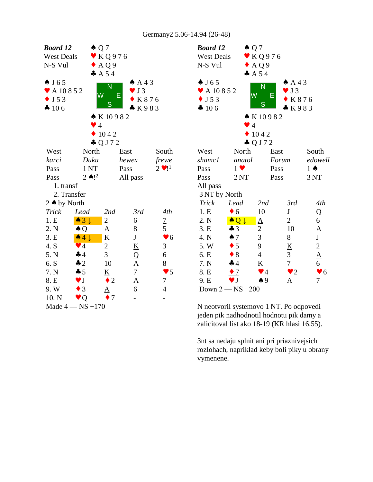| Board 12               |                            | $\triangle Q$ 7          |                                      |                        | <b>Boa</b>         |
|------------------------|----------------------------|--------------------------|--------------------------------------|------------------------|--------------------|
| <b>West Deals</b>      |                            | $\mathbf{v}$ KQ976       |                                      |                        | We:                |
| N-S Vul                |                            | $\triangle$ AQ9          |                                      |                        | $N-S$              |
|                        |                            | A 54                     |                                      |                        |                    |
| $\spadesuit$ J 65      |                            | N                        | AA3                                  |                        | $\clubsuit$ J      |
| ◆ A 10 8 5 2           |                            | W                        | J <sub>3</sub>                       |                        | $\bullet$ $\prime$ |
| $\bullet$ J 5 3        |                            |                          | Е<br>K876                            |                        | $\bullet$ J        |
| 4 106                  |                            | S                        | K983                                 |                        | $\clubsuit$ 1      |
|                        |                            | $\bullet K10982$         |                                      |                        |                    |
|                        |                            | $\bullet$ 4              |                                      |                        |                    |
|                        |                            | 1042                     |                                      |                        |                    |
|                        |                            | $\clubsuit$ Q J 7 2      |                                      |                        |                    |
| West                   | North                      |                          | East                                 | South                  | We:                |
| karci                  | Duku                       |                          | hewex                                | frewe                  | sha                |
| Pass                   | 1 <sub>NT</sub>            |                          | Pass                                 | $2 \vee 1^1$           | Pas:               |
| Pass                   | $2 \bullet$ ! <sup>2</sup> |                          | All pass                             |                        | Pas:               |
| 1. transf              |                            |                          |                                      |                        | All                |
| 2. Transfer            |                            |                          |                                      |                        | 3N                 |
| 2 $\triangle$ by North |                            |                          |                                      |                        | Tri                |
| <b>Trick</b>           | Lead                       | 2nd                      | 3rd                                  | 4th                    | 1.1                |
| 1.E                    | $\bullet 3\downarrow$      | $\overline{c}$           | 6                                    | $\overline{1}$         | 2.1                |
| 2. N                   | $\triangle Q$              | ${\underline{\rm A}}$    | 8                                    | 5                      | 3.1                |
| 3. E                   | $\triangle 4 \downarrow$   | $\underline{\mathbf{K}}$ | $\bf J$                              | $\blacktriangledown 6$ | 4.1                |
| 4. S                   | $\blacktriangledown$ 4     | 2                        | $\underline{\underline{\mathsf{K}}}$ | 3                      | 5.3                |
| 5. N                   | 44                         | 3                        | Q                                    | 6                      | 6. I               |
| 6. S                   | $\clubsuit$ 2              | 10                       |                                      | 8                      | 7.1                |
| 7. N                   | 45                         | K                        | $\frac{A}{7}$                        | $\blacktriangledown$ 5 | 8. I               |
| 8. E                   | $\blacktriangledown$ J     | 2                        | $\frac{A}{6}$                        | 7                      | 9. I               |
| 9.W                    | $\bullet$ 3                |                          |                                      | $\overline{4}$         | Do                 |
| 10. N                  | $\bullet$ Q                | 7                        |                                      |                        |                    |
| Made $4 - NS + 170$    |                            |                          |                                      |                        | N <sub>n</sub>     |

| <b>Board 12</b>               | $\triangle Q$ 7          |                          |                          |             |                                |  |
|-------------------------------|--------------------------|--------------------------|--------------------------|-------------|--------------------------------|--|
| <b>West Deals</b>             |                          | $\mathbf$ KQ976          |                          |             |                                |  |
| N-S Vul                       |                          | $\triangle$ AQ9          |                          |             |                                |  |
|                               |                          | A 5 4                    |                          |             |                                |  |
| $\spadesuit$ J65              |                          | N                        |                          | $AA$ 3      |                                |  |
| $\blacktriangleright$ A 10852 | W                        |                          | $\bullet$ J 3            |             |                                |  |
| $\bullet$ J 5 3               |                          |                          | Ε                        | K876        |                                |  |
| 4 106                         |                          | S                        |                          | K983        |                                |  |
|                               |                          | $\bullet K10982$         |                          |             |                                |  |
|                               | $\vee$ 4                 |                          |                          |             |                                |  |
|                               |                          | 1042                     |                          |             |                                |  |
|                               |                          | $\clubsuit$ Q J 7 2      |                          |             |                                |  |
| West                          | North                    |                          | East                     |             | South                          |  |
| shamc1                        | anatol                   |                          | Forum                    |             | edowell                        |  |
| Pass                          | $1 \vee$                 |                          | Pass                     |             | $1 \spadesuit$                 |  |
| Pass                          | 2NT                      |                          | Pass                     |             | 3 NT                           |  |
| All pass                      |                          |                          |                          |             |                                |  |
| 3 NT by North                 |                          |                          |                          |             |                                |  |
| <b>Trick</b>                  | Lead                     | 2nd                      | 3rd                      |             | 4th                            |  |
| 1.E                           | $\bullet$ 6              | 10                       | ${\bf J}$                |             | Q                              |  |
| 2. N                          | $\bullet$ Q $\downarrow$ | $\underline{A}$          | 2                        |             | 6                              |  |
| 3. E                          | $\clubsuit$ 3            | $\overline{c}$           | 10                       |             | $\underline{A}$                |  |
| 4. N                          | $\spadesuit$ 7           | $\overline{3}$           | 8                        |             |                                |  |
| 5. W                          | $\bullet$ 5              | 9                        | $\underline{\mathbf{K}}$ |             |                                |  |
| 6. E                          | $\bullet$ 8              | $\overline{4}$           | $\mathfrak{Z}$           |             | $\frac{J}{2}$<br>$\frac{A}{6}$ |  |
| 7. N                          | $\clubsuit$ 4            | $\underline{\mathbf{K}}$ | $\overline{7}$           |             |                                |  |
| 8. E                          | $\bullet$ 7              | $\blacktriangledown$ 4   |                          | $\bullet$ 2 | $\blacktriangledown 6$         |  |
| 9. E                          | $\blacktriangledown$ J   | $\spadesuit$ 9           | $\underline{\mathrm{A}}$ |             | 7                              |  |
|                               | Down $2 - NS - 200$      |                          |                          |             |                                |  |

N neotvoril systemovo 1 NT. Po odpovedi jeden pik nadhodnotil hodnotu pik damy a zalicitoval list ako 18-19 (KR hlasi 16.55).

3nt sa nedaju splnit ani pri priaznivejsich rozlohach, napriklad keby boli piky u obrany vymenene.